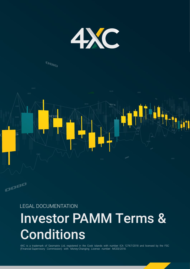

## OBID



### LEGAL DOCUMENTATION

# Investor PAMM Terms & **Conditions**

4XC is a trademark of Geomatrix Ltd, registered in the Cook Islands with number ICA 12767/2018 and licensed by the FSC (Financial Supervisory Commission) with Money-Changing License number MC03/2018.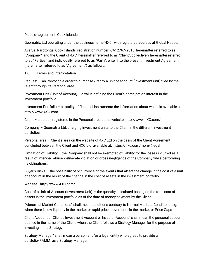Place of agreement: Cook Islands

Geomatrix Ltd operating under the business name '4XC', with registered address at Global House,

Avarua, Rarotonga, Cook Islands, registration number ICA12767/2018, hereinafter referred to as "Company", and the Client of 4XC, hereinafter referred to as "Client", collectively hereinafter referred to as "Parties", and individually referred to as "Party", enter into the present Investment Agreement (hereinafter referred to as "Agreement") as follows:

#### 1.0. Terms and Interpretation

Request  $-$  an irrevocable order to purchase / repay a unit of account (investment unit) filed by the Client through its Personal area.

Investment Unit (Unit of Account) – a value defining the Client's participation interest in the investment portfolio.

Investment Portfolio – a totality of financial instruments the information about which is available at http://www.4XC.com

Client – a person registered in the Personal area at the website: http://www.4XC.com/

Company – Geomatrix Ltd, charging investment units to the Client in the different investment portfolios.

Personal area — Client's area on the website of 4XC Ltd on the basis of the Client Agreement concluded between the Client and 4XC Ltd, available at: https://4xc.com/more/#legal

Limitation of Liability – the Company shall not be exempted of liability for the losses incurred as a result of intended abuse, deliberate violation or gross negligence of the Company while performing its obligations.

Buyer's Risks — the possibility of occurrence of the events that affect the change in the cost of a unit of account in the result of the change in the cost of assets in the investment portfolio.

Website - http://www.4XC.com/

Cost of a Unit of Account (Investment Unit) — the quantity calculated basing on the total cost of assets in the investment portfolio as of the date of money payment by the Client.

"Abnormal Market Conditions" shall mean conditions contrary to Normal Markets Conditions e.g. when there is low liquidity in the market or rapid price movements in the market or Price Gaps

Client Account or Client's Investment Account or Investor Account" shall mean the personal account opened in the name of the Client, when the Client follows a Strategy Manager for the purpose of investing in the Strategy

Strategy Manager" shall mean a person and/or a legal entity who agrees to provide a portfolio/PAMM as a Strategy Manager.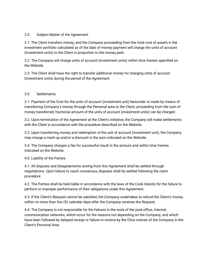#### 2.0. Subject Matter of the Agreement

2.1. The Client transfers money, and the Company proceeding from the total cost of assets in the investment portfolio calculated as of the date of money payment will charge the units of account (investment units) to the Client in proportion to the money paid.

2.2. The Company will charge units of account (investment units) within time frames specified on the Website.

2.3. The Client shall have the right to transfer additional money for charging units of account (investment units) during the period of the Agreement.

#### 3.0. Settlements

3.1. Payment of the Cost for the units of account (investment unit) hereunder is made by means of transferring Company's money through the Personal area to the Client; proceeding from the sum of money transferred, fractional amount of the units of account (investment units) can be charged.

3.2. Upon termination of the Agreement at the Client's initiative, the Company will make settlements with the Client in accordance with the procedure described on the Website.

3.3. Upon transferring money and redemption of the unit of account (investment unit), the Company may charge a mark-up and/or a discount in the sum indicated on the Website.

3.4. The Company charges a fee for successful result in the amount and within time frames indicated on the Website.

#### 4.0. Liability of the Parties

4.1. All disputes and disagreements arising from this Agreement shall be settled through negotiations. Upon failure to reach consensus, disputes shall be settled following the claim procedure.

4.2. The Parties shall be held liable in accordance with the laws of the Cook Islands for the failure to perform or improper performance of their obligations under this Agreement.

4.3. If the Client's Request cannot be satisfied, the Company undertakes to refund the Client's money within no more than five (5) calendar days after the Company receives the Request.

4.4. The Company is not responsible for the failures in the work of the post-office, Internet, communication networks, which occur for the reasons not depending on the Company, and which have been followed by delayed receipt or failure to receive by the Cline notices of the Company in the Client's Personal Area.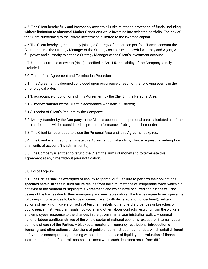4.5. The Client hereby fully and irrevocably accepts all risks related to protection of funds, including without limitation to abnormal Market Conditions while investing into selected portfolio. The risk of the Client subscribing to the PAMM investment is limited to the invested capital.

4.6 The Client hereby agrees that by joining a Strategy of prescribed portfolio/Pamm account the Client appoints the Strategy Manager of the Strategy as its true and lawful Attorney and Agent, with full power and authority to act as a Strategy Manager of the Client's investment account.

4.7. Upon occurrence of events (risks) specified in Art. 4.5, the liability of the Company is fully excluded.

5.0. Term of the Agreement and Termination Procedure

5.1. The Agreement is deemed concluded upon occurrence of each of the following events in the chronological order:

5.1.1. acceptance of conditions of this Agreement by the Client in the Personal Area;

5.1.2. money transfer by the Client in accordance with item 3.1 hereof;

5.1.3. receipt of Client's Request by the Company;

5.2. Money transfer by the Company to the Client's account in the personal area, calculated as of the termination date, will be considered as proper performance of obligations hereunder.

5.3. The Client is not entitled to close the Personal Area until this Agreement expires.

5.4. The Client is entitled to terminate this Agreement unilaterally by filing a request for redemption of all units of account (investment units).

5.5. The Company is entitled to refund the Client the sums of money and to terminate this Agreement at any time without prior notification.

#### 6.0. Force Majeure

6.1. The Parties shall be exempted of liability for partial or full failure to perform their obligations specified herein, in case if such failure results from the circumstance of insuperable force, which did not exist at the moment of signing this Agreement, and which have occurred against the will and desire of the Parties due to their emergency and inevitable nature. The Parties agree to recognize the following circumstances to be force majeure: – war (both declared and not declared), military actions of any kind; – diversion, acts of terrorism, rebels, other civil disturbances or breaches of public peace; – strikes, dismissals (lockouts) and other labour conflicts resulting from the workers' and employees' response to the changes in the governmental administration policy; – general national labour conflicts, strikes of the whole sector of national economy, except for internal labour conflicts of each of the Parties; – blockade, moratorium, currency restrictions, introduction of licensing, and other actions or decisions of public or administration authorities, which entail different unfavorable consequences, including without limitation loss of liquidity or devaluation of financial instruments; – "out of control" obstacles (except when such decisions result from different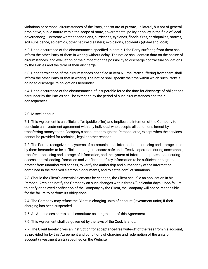violations or personal circumstances of the Party, and/or are of private, unilateral, but not of general prohibitive, public nature within the scope of state, governmental policy or policy in the field of local governance); – extreme weather conditions, hurricanes, cyclones, floods, fires, earthquakes, storms, soil subsidence, epidemics, other natural disasters; explosions, accidents (global and local).

6.2. Upon occurrence of the circumstances specified in item 6.1 the Party suffering from them shall inform the other Party of them in writing without delay. The notice shall contain data on the nature of circumstances, and evaluation of their impact on the possibility to discharge contractual obligations by the Parties and the term of their discharge.

6.3. Upon termination of the circumstances specified in item 6.1 the Party suffering from them shall inform the other Party of that in writing. The notice shall specify the time within which such Party is going to discharge its obligations hereunder.

6.4. Upon occurrence of the circumstances of insuperable force the time for discharge of obligations hereunder by the Parties shall be extended by the period of such circumstances and their consequences.

#### 7.0. Miscellaneous

7.1. This Agreement is an official offer (public offer) and implies the intention of the Company to conclude an investment agreement with any individual who accepts all conditions hereof by transferring money to the Company's accounts through the Personal area, except when the services cannot be provided for technical, legal or other reasons.

7.2. The Parties recognize the systems of communication, information processing and storage used by them hereunder to be sufficient enough to ensure safe and effective operation during acceptance, transfer, processing and storage of information, and the system of information protection ensuring access control, coding, formation and verification of key information to be sufficient enough to protect from unauthorized access, to verify the authorship and authenticity of the information contained in the received electronic documents, and to settle conflict situations.

7.3. Should the Client's essential elements be changed, the Client shall file an application in his Personal Area and notify the Company on such changes within three (3) calendar days. Upon failure to notify or delayed notification of the Company by the Client, the Company will not be responsible for the failure to perform its obligations.

7.4. The Company may refuse the Client in charging units of account (investment units) if their charging has been suspended.

7.5. All Appendices hereto shall constitute an integral part of this Agreement.

7.6. This Agreement shall be governed by the laws of the Cook Islands.

7.7. The Client hereby gives an instruction for acceptance-free write-off of the fees from his account, as provided for by this Agreement and conditions of charging and redemption of the units of account (investment units) specified on the Website.